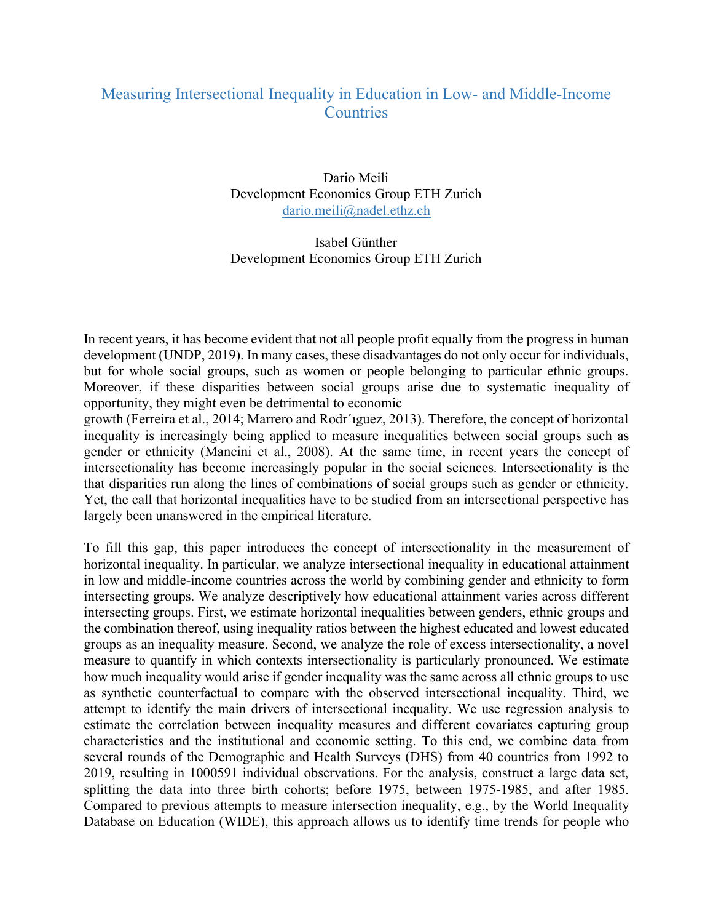## Measuring Intersectional Inequality in Education in Low- and Middle-Income **Countries**

Dario Meili Development Economics Group ETH Zurich dario.meili@nadel.ethz.ch

Isabel Günther Development Economics Group ETH Zurich

In recent years, it has become evident that not all people profit equally from the progress in human development (UNDP, 2019). In many cases, these disadvantages do not only occur for individuals, but for whole social groups, such as women or people belonging to particular ethnic groups. Moreover, if these disparities between social groups arise due to systematic inequality of opportunity, they might even be detrimental to economic

growth (Ferreira et al., 2014; Marrero and Rodr´ıguez, 2013). Therefore, the concept of horizontal inequality is increasingly being applied to measure inequalities between social groups such as gender or ethnicity (Mancini et al., 2008). At the same time, in recent years the concept of intersectionality has become increasingly popular in the social sciences. Intersectionality is the that disparities run along the lines of combinations of social groups such as gender or ethnicity. Yet, the call that horizontal inequalities have to be studied from an intersectional perspective has largely been unanswered in the empirical literature.

To fill this gap, this paper introduces the concept of intersectionality in the measurement of horizontal inequality. In particular, we analyze intersectional inequality in educational attainment in low and middle-income countries across the world by combining gender and ethnicity to form intersecting groups. We analyze descriptively how educational attainment varies across different intersecting groups. First, we estimate horizontal inequalities between genders, ethnic groups and the combination thereof, using inequality ratios between the highest educated and lowest educated groups as an inequality measure. Second, we analyze the role of excess intersectionality, a novel measure to quantify in which contexts intersectionality is particularly pronounced. We estimate how much inequality would arise if gender inequality was the same across all ethnic groups to use as synthetic counterfactual to compare with the observed intersectional inequality. Third, we attempt to identify the main drivers of intersectional inequality. We use regression analysis to estimate the correlation between inequality measures and different covariates capturing group characteristics and the institutional and economic setting. To this end, we combine data from several rounds of the Demographic and Health Surveys (DHS) from 40 countries from 1992 to 2019, resulting in 1000591 individual observations. For the analysis, construct a large data set, splitting the data into three birth cohorts; before 1975, between 1975-1985, and after 1985. Compared to previous attempts to measure intersection inequality, e.g., by the World Inequality Database on Education (WIDE), this approach allows us to identify time trends for people who